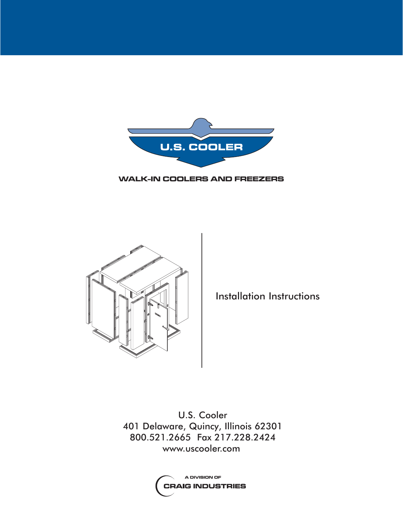

**WALK-IN COOLERS AND FREEZERS**



Installation Instructions

U.S. Cooler 401 Delaware, Quincy, Illinois 62301 800.521.2665 Fax 217.228.2424 www.uscooler.com

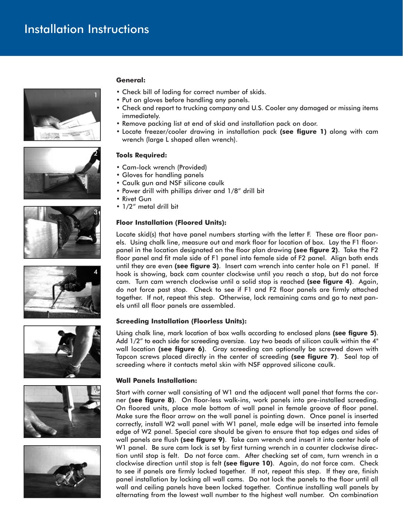# Installation Instructions















## **General:**

- Check bill of lading for correct number of skids.
- Put on gloves before handling any panels.
- Check and report to trucking company and U.S. Cooler any damaged or missing items immediately.
- Remove packing list at end of skid and installation pack on door.
- Locate freezer/cooler drawing in installation pack **(see figure 1)** along with cam wrench (large L shaped allen wrench).

#### **Tools Required:**

- Cam-lock wrench (Provided)
- Gloves for handling panels
- Caulk gun and NSF silicone caulk
- Power drill with phillips driver and 1/8" drill bit
- Rivet Gun
- 1/2" metal drill bit

## **Floor Installation (Floored Units):**

Locate skid(s) that have panel numbers starting with the letter F. These are floor panels. Using chalk line, measure out and mark floor for location of box. Lay the F1 floorpanel in the location designated on the floor plan drawing **(see figure 2)**. Take the F2 floor panel and fit male side of F1 panel into female side of F2 panel. Align both ends until they are even **(see figure 3)**. Insert cam wrench into center hole on F1 panel. If hook is showing, back cam counter clockwise until you reach a stop, but do not force cam. Turn cam wrench clockwise until a solid stop is reached **(see figure 4)**. Again, do not force past stop. Check to see if F1 and F2 floor panels are firmly attached together. If not, repeat this step. Otherwise, lock remaining cams and go to next panels until all floor panels are assembled.

## **Screeding Installation (Floorless Units):**

Using chalk line, mark location of box walls according to enclosed plans **(see figure 5)**. Add  $1/2$ " to each side for screeding oversize. Lay two beads of silicon caulk within the 4" wall location **(see figure 6)**. Gray screeding can optionally be screwed down with Tapcon screws placed directly in the center of screeding **(see figure 7)**. Seal top of screeding where it contacts metal skin with NSF approved silicone caulk.

## **Wall Panels Installation:**

Start with corner wall consisting of W1 and the adjacent wall panel that forms the corner **(see figure 8)**. On floor-less walk-ins, work panels into pre-installed screeding. On floored units, place male bottom of wall panel in female groove of floor panel. Make sure the floor arrow on the wall panel is pointing down. Once panel is inserted correctly, install W2 wall panel with W1 panel, male edge will be inserted into female edge of W2 panel. Special care should be given to ensure that top edges and sides of wall panels are flush **(see figure 9)**. Take cam wrench and insert it into center hole of W1 panel. Be sure cam lock is set by first turning wrench in a counter clockwise direction until stop is felt. Do not force cam. After checking set of cam, turn wrench in a clockwise direction until stop is felt **(see figure 10)**. Again, do not force cam. Check to see if panels are firmly locked together. If not, repeat this step. If they are, finish panel installation by locking all wall cams. Do not lock the panels to the floor until all wall and ceiling panels have been locked together. Continue installing wall panels by alternating from the lowest wall number to the highest wall number. On combination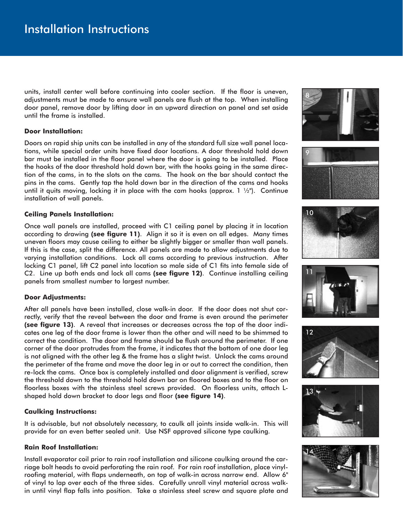units, install center wall before continuing into cooler section. If the floor is uneven, adjustments must be made to ensure wall panels are flush at the top. When installing door panel, remove door by lifting door in an upward direction on panel and set aside until the frame is installed.

## **Door Installation:**

Doors on rapid ship units can be installed in any of the standard full size wall panel locations, while special order units have fixed door locations. A door threshold hold down bar must be installed in the floor panel where the door is going to be installed. Place the hooks of the door threshold hold down bar, with the hooks going in the same direction of the cams, in to the slots on the cams. The hook on the bar should contact the pins in the cams. Gently tap the hold down bar in the direction of the cams and hooks until it quits moving, locking it in place with the cam hooks (approx.  $1 \frac{1}{2}$ "). Continue installation of wall panels.

## **Ceiling Panels Installation:**

Once wall panels are installed, proceed with C1 ceiling panel by placing it in location according to drawing **(see figure 11)**. Align it so it is even on all edges. Many times uneven floors may cause ceiling to either be slightly bigger or smaller than wall panels. If this is the case, split the difference. All panels are made to allow adjustments due to varying installation conditions. Lock all cams according to previous instruction. After locking C1 panel, lift C2 panel into location so male side of C1 fits into female side of C2. Line up both ends and lock all cams **(see figure 12)**. Continue installing ceiling panels from smallest number to largest number.

# **Door Adjustments:**

After all panels have been installed, close walk-in door. If the door does not shut correctly, verify that the reveal between the door and frame is even around the perimeter **(see figure 13)**. A reveal that increases or decreases across the top of the door indicates one leg of the door frame is lower than the other and will need to be shimmed to correct the condition. The door and frame should be flush around the perimeter. If one corner of the door protrudes from the frame, it indicates that the bottom of one door leg is not aligned with the other leg & the frame has a slight twist. Unlock the cams around the perimeter of the frame and move the door leg in or out to correct the condition, then re-lock the cams. Once box is completely installed and door alignment is verified, screw the threshold down to the threshold hold down bar on floored boxes and to the floor on floorless boxes with the stainless steel screws provided. On floorless units, attach Lshaped hold down bracket to door legs and floor **(see figure 14)**.

# **Caulking Instructions:**

It is advisable, but not absolutely necessary, to caulk all joints inside walk-in. This will provide for an even better sealed unit. Use NSF approved silicone type caulking.

# **Rain Roof Installation:**

Install evaporator coil prior to rain roof installation and silicone caulking around the carriage bolt heads to avoid perforating the rain roof. For rain roof installation, place vinylroofing material, with flaps underneath, on top of walk-in across narrow end. Allow 6" of vinyl to lap over each of the three sides. Carefully unroll vinyl material across walkin until vinyl flap falls into position. Take a stainless steel screw and square plate and